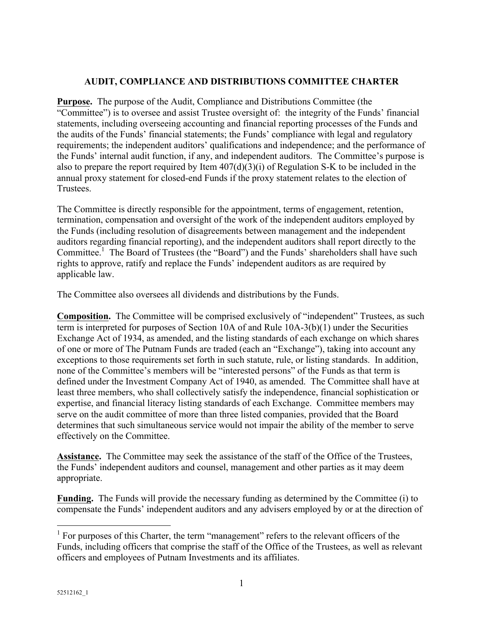## **AUDIT, COMPLIANCE AND DISTRIBUTIONS COMMITTEE CHARTER**

**Purpose.** The purpose of the Audit, Compliance and Distributions Committee (the "Committee") is to oversee and assist Trustee oversight of: the integrity of the Funds' financial statements, including overseeing accounting and financial reporting processes of the Funds and the audits of the Funds' financial statements; the Funds' compliance with legal and regulatory requirements; the independent auditors' qualifications and independence; and the performance of the Funds' internal audit function, if any, and independent auditors. The Committee's purpose is also to prepare the report required by Item 407(d)(3)(i) of Regulation S-K to be included in the annual proxy statement for closed-end Funds if the proxy statement relates to the election of Trustees.

The Committee is directly responsible for the appointment, terms of engagement, retention, termination, compensation and oversight of the work of the independent auditors employed by the Funds (including resolution of disagreements between management and the independent auditors regarding financial reporting), and the independent auditors shall report directly to the Committee.<sup>1</sup> The Board of Trustees (the "Board") and the Funds' shareholders shall have such rights to approve, ratify and replace the Funds' independent auditors as are required by applicable law.

The Committee also oversees all dividends and distributions by the Funds.

**Composition.** The Committee will be comprised exclusively of "independent" Trustees, as such term is interpreted for purposes of Section 10A of and Rule 10A-3(b)(1) under the Securities Exchange Act of 1934, as amended, and the listing standards of each exchange on which shares of one or more of The Putnam Funds are traded (each an "Exchange"), taking into account any exceptions to those requirements set forth in such statute, rule, or listing standards. In addition, none of the Committee's members will be "interested persons" of the Funds as that term is defined under the Investment Company Act of 1940, as amended. The Committee shall have at least three members, who shall collectively satisfy the independence, financial sophistication or expertise, and financial literacy listing standards of each Exchange. Committee members may serve on the audit committee of more than three listed companies, provided that the Board determines that such simultaneous service would not impair the ability of the member to serve effectively on the Committee.

**Assistance.** The Committee may seek the assistance of the staff of the Office of the Trustees, the Funds' independent auditors and counsel, management and other parties as it may deem appropriate.

**Funding.** The Funds will provide the necessary funding as determined by the Committee (i) to compensate the Funds' independent auditors and any advisers employed by or at the direction of

 $<sup>1</sup>$  For purposes of this Charter, the term "management" refers to the relevant officers of the</sup> Funds, including officers that comprise the staff of the Office of the Trustees, as well as relevant officers and employees of Putnam Investments and its affiliates.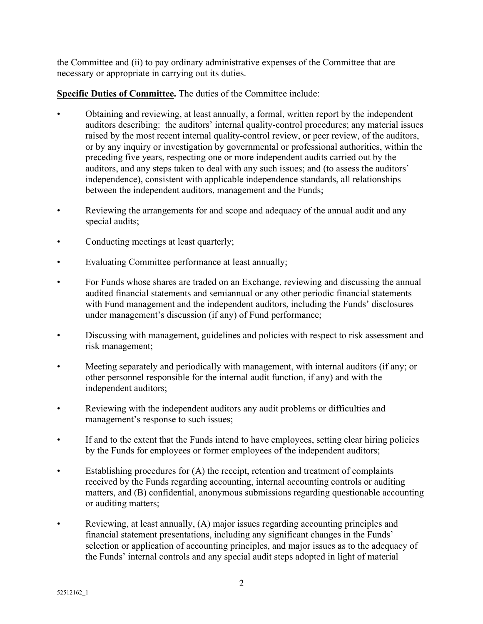the Committee and (ii) to pay ordinary administrative expenses of the Committee that are necessary or appropriate in carrying out its duties.

**Specific Duties of Committee.** The duties of the Committee include:

- Obtaining and reviewing, at least annually, a formal, written report by the independent auditors describing: the auditors' internal quality-control procedures; any material issues raised by the most recent internal quality-control review, or peer review, of the auditors, or by any inquiry or investigation by governmental or professional authorities, within the preceding five years, respecting one or more independent audits carried out by the auditors, and any steps taken to deal with any such issues; and (to assess the auditors' independence), consistent with applicable independence standards, all relationships between the independent auditors, management and the Funds;
- Reviewing the arrangements for and scope and adequacy of the annual audit and any special audits;
- Conducting meetings at least quarterly;
- Evaluating Committee performance at least annually;
- For Funds whose shares are traded on an Exchange, reviewing and discussing the annual audited financial statements and semiannual or any other periodic financial statements with Fund management and the independent auditors, including the Funds' disclosures under management's discussion (if any) of Fund performance;
- Discussing with management, guidelines and policies with respect to risk assessment and risk management;
- Meeting separately and periodically with management, with internal auditors (if any; or other personnel responsible for the internal audit function, if any) and with the independent auditors;
- Reviewing with the independent auditors any audit problems or difficulties and management's response to such issues;
- If and to the extent that the Funds intend to have employees, setting clear hiring policies by the Funds for employees or former employees of the independent auditors;
- Establishing procedures for (A) the receipt, retention and treatment of complaints received by the Funds regarding accounting, internal accounting controls or auditing matters, and (B) confidential, anonymous submissions regarding questionable accounting or auditing matters;
- Reviewing, at least annually, (A) major issues regarding accounting principles and financial statement presentations, including any significant changes in the Funds' selection or application of accounting principles, and major issues as to the adequacy of the Funds' internal controls and any special audit steps adopted in light of material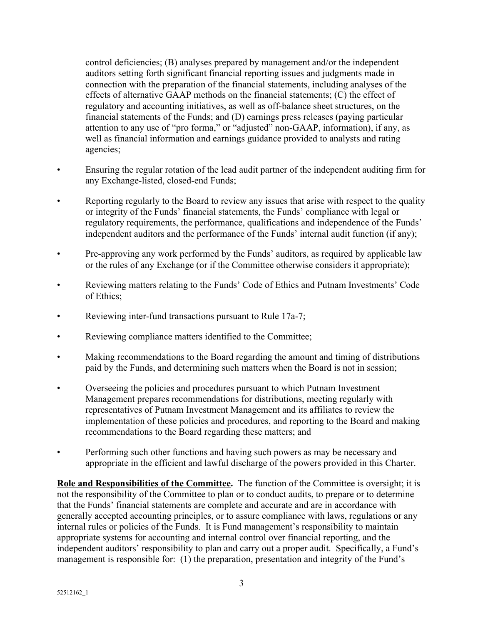control deficiencies; (B) analyses prepared by management and/or the independent auditors setting forth significant financial reporting issues and judgments made in connection with the preparation of the financial statements, including analyses of the effects of alternative GAAP methods on the financial statements; (C) the effect of regulatory and accounting initiatives, as well as off-balance sheet structures, on the financial statements of the Funds; and (D) earnings press releases (paying particular attention to any use of "pro forma," or "adjusted" non-GAAP, information), if any, as well as financial information and earnings guidance provided to analysts and rating agencies;

- Ensuring the regular rotation of the lead audit partner of the independent auditing firm for any Exchange-listed, closed-end Funds;
- Reporting regularly to the Board to review any issues that arise with respect to the quality or integrity of the Funds' financial statements, the Funds' compliance with legal or regulatory requirements, the performance, qualifications and independence of the Funds' independent auditors and the performance of the Funds' internal audit function (if any);
- Pre-approving any work performed by the Funds' auditors, as required by applicable law or the rules of any Exchange (or if the Committee otherwise considers it appropriate);
- Reviewing matters relating to the Funds' Code of Ethics and Putnam Investments' Code of Ethics;
- Reviewing inter-fund transactions pursuant to Rule 17a-7;
- Reviewing compliance matters identified to the Committee;
- Making recommendations to the Board regarding the amount and timing of distributions paid by the Funds, and determining such matters when the Board is not in session;
- Overseeing the policies and procedures pursuant to which Putnam Investment Management prepares recommendations for distributions, meeting regularly with representatives of Putnam Investment Management and its affiliates to review the implementation of these policies and procedures, and reporting to the Board and making recommendations to the Board regarding these matters; and
- Performing such other functions and having such powers as may be necessary and appropriate in the efficient and lawful discharge of the powers provided in this Charter.

**Role and Responsibilities of the Committee.** The function of the Committee is oversight; it is not the responsibility of the Committee to plan or to conduct audits, to prepare or to determine that the Funds' financial statements are complete and accurate and are in accordance with generally accepted accounting principles, or to assure compliance with laws, regulations or any internal rules or policies of the Funds. It is Fund management's responsibility to maintain appropriate systems for accounting and internal control over financial reporting, and the independent auditors' responsibility to plan and carry out a proper audit. Specifically, a Fund's management is responsible for: (1) the preparation, presentation and integrity of the Fund's